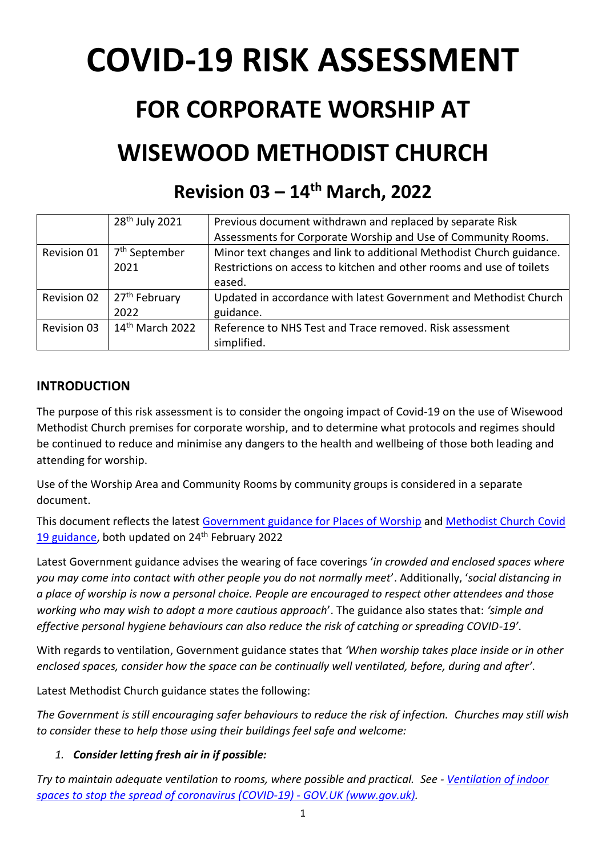# **COVID-19 RISK ASSESSMENT**

## **FOR CORPORATE WORSHIP AT WISEWOOD METHODIST CHURCH**

### **Revision 03 – 14 th March, 2022**

|                    | 28 <sup>th</sup> July 2021 | Previous document withdrawn and replaced by separate Risk            |
|--------------------|----------------------------|----------------------------------------------------------------------|
|                    |                            | Assessments for Corporate Worship and Use of Community Rooms.        |
| Revision 01        | 7 <sup>th</sup> September  | Minor text changes and link to additional Methodist Church guidance. |
|                    | 2021                       | Restrictions on access to kitchen and other rooms and use of toilets |
|                    |                            | eased.                                                               |
| <b>Revision 02</b> | 27 <sup>th</sup> February  | Updated in accordance with latest Government and Methodist Church    |
|                    | 2022                       | guidance.                                                            |
| <b>Revision 03</b> | $14th$ March 2022          | Reference to NHS Test and Trace removed. Risk assessment             |
|                    |                            | simplified.                                                          |

#### **INTRODUCTION**

The purpose of this risk assessment is to consider the ongoing impact of Covid-19 on the use of Wisewood Methodist Church premises for corporate worship, and to determine what protocols and regimes should be continued to reduce and minimise any dangers to the health and wellbeing of those both leading and attending for worship.

Use of the Worship Area and Community Rooms by community groups is considered in a separate document.

This document reflects the latest [Government guidance for Places of Worship](https://www.gov.uk/guidance/covid-19-guidance-for-the-safe-use-of-places-of-worship) and [Methodist Church Covid](https://www.methodist.org.uk/for-churches/property/coronavirus-guidance-for-property/)  [19 guidance,](https://www.methodist.org.uk/for-churches/property/coronavirus-guidance-for-property/) both updated on 24<sup>th</sup> February 2022

Latest Government guidance advises the wearing of face coverings '*in crowded and enclosed spaces where you may come into contact with other people you do not normally meet*'. Additionally, '*social distancing in a place of worship is now a personal choice. People are encouraged to respect other attendees and those working who may wish to adopt a more cautious approach*'. The guidance also states that: *'simple and effective personal hygiene behaviours can also reduce the risk of catching or spreading COVID-19'*.

With regards to ventilation, Government guidance states that *'When worship takes place inside or in other enclosed spaces, consider how the space can be continually well ventilated, before, during and after'*.

Latest Methodist Church guidance states the following:

*The Government is still encouraging safer behaviours to reduce the risk of infection. Churches may still wish to consider these to help those using their buildings feel safe and welcome:*

#### *1. Consider letting fresh air in if possible:*

*Try to maintain adequate ventilation to rooms, where possible and practical. See - [Ventilation of indoor](https://www.gov.uk/government/publications/covid-19-ventilation-of-indoor-spaces-to-stop-the-spread-of-coronavirus/ventilation-of-indoor-spaces-to-stop-the-spread-of-coronavirus-covid-19)  [spaces to stop the spread of coronavirus \(COVID-19\) -](https://www.gov.uk/government/publications/covid-19-ventilation-of-indoor-spaces-to-stop-the-spread-of-coronavirus/ventilation-of-indoor-spaces-to-stop-the-spread-of-coronavirus-covid-19) GOV.UK (www.gov.uk).*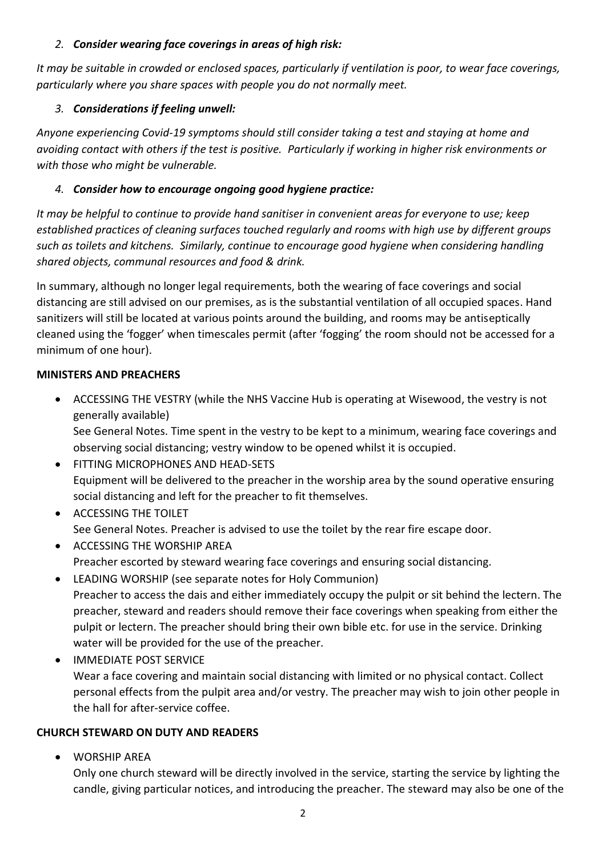#### *2. Consider wearing face coverings in areas of high risk:*

*It may be suitable in crowded or enclosed spaces, particularly if ventilation is poor, to wear face coverings, particularly where you share spaces with people you do not normally meet.*

#### *3. Considerations if feeling unwell:*

*Anyone experiencing Covid-19 symptoms should still consider taking a test and staying at home and avoiding contact with others if the test is positive. Particularly if working in higher risk environments or with those who might be vulnerable.*

#### *4. Consider how to encourage ongoing good hygiene practice:*

*It may be helpful to continue to provide hand sanitiser in convenient areas for everyone to use; keep established practices of cleaning surfaces touched regularly and rooms with high use by different groups such as toilets and kitchens. Similarly, continue to encourage good hygiene when considering handling shared objects, communal resources and food & drink.*

In summary, although no longer legal requirements, both the wearing of face coverings and social distancing are still advised on our premises, as is the substantial ventilation of all occupied spaces. Hand sanitizers will still be located at various points around the building, and rooms may be antiseptically cleaned using the 'fogger' when timescales permit (after 'fogging' the room should not be accessed for a minimum of one hour).

#### **MINISTERS AND PREACHERS**

• ACCESSING THE VESTRY (while the NHS Vaccine Hub is operating at Wisewood, the vestry is not generally available)

See General Notes. Time spent in the vestry to be kept to a minimum, wearing face coverings and observing social distancing; vestry window to be opened whilst it is occupied.

- FITTING MICROPHONES AND HEAD-SETS Equipment will be delivered to the preacher in the worship area by the sound operative ensuring social distancing and left for the preacher to fit themselves.
- ACCESSING THE TOILET See General Notes. Preacher is advised to use the toilet by the rear fire escape door.
- ACCESSING THE WORSHIP AREA Preacher escorted by steward wearing face coverings and ensuring social distancing.
- LEADING WORSHIP (see separate notes for Holy Communion) Preacher to access the dais and either immediately occupy the pulpit or sit behind the lectern. The preacher, steward and readers should remove their face coverings when speaking from either the pulpit or lectern. The preacher should bring their own bible etc. for use in the service. Drinking water will be provided for the use of the preacher.
- IMMEDIATE POST SERVICE Wear a face covering and maintain social distancing with limited or no physical contact. Collect personal effects from the pulpit area and/or vestry. The preacher may wish to join other people in the hall for after-service coffee.

#### **CHURCH STEWARD ON DUTY AND READERS**

• WORSHIP AREA

Only one church steward will be directly involved in the service, starting the service by lighting the candle, giving particular notices, and introducing the preacher. The steward may also be one of the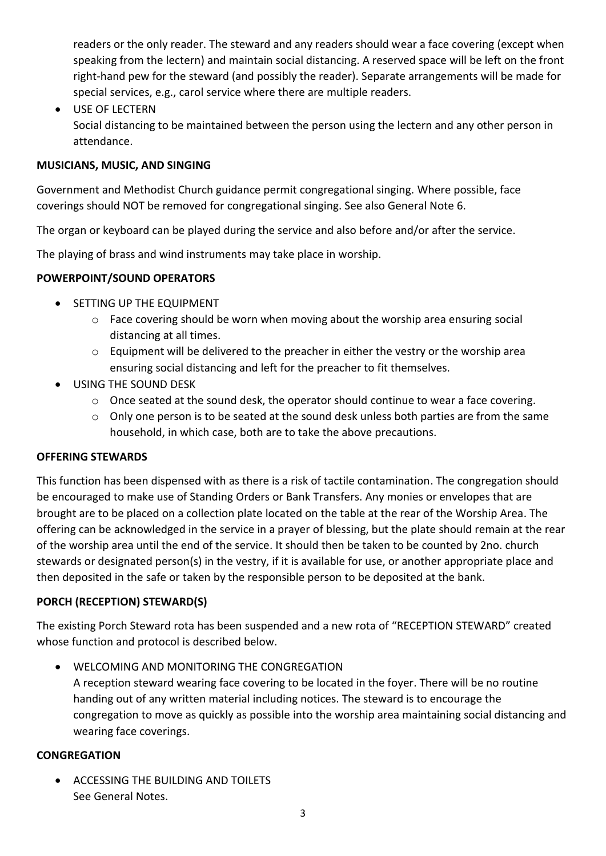readers or the only reader. The steward and any readers should wear a face covering (except when speaking from the lectern) and maintain social distancing. A reserved space will be left on the front right-hand pew for the steward (and possibly the reader). Separate arrangements will be made for special services, e.g., carol service where there are multiple readers.

• USE OF LECTERN Social distancing to be maintained between the person using the lectern and any other person in attendance.

#### **MUSICIANS, MUSIC, AND SINGING**

Government and Methodist Church guidance permit congregational singing. Where possible, face coverings should NOT be removed for congregational singing. See also General Note 6.

The organ or keyboard can be played during the service and also before and/or after the service.

The playing of brass and wind instruments may take place in worship.

#### **POWERPOINT/SOUND OPERATORS**

- SETTING UP THE EQUIPMENT
	- $\circ$  Face covering should be worn when moving about the worship area ensuring social distancing at all times.
	- o Equipment will be delivered to the preacher in either the vestry or the worship area ensuring social distancing and left for the preacher to fit themselves.
- USING THE SOUND DESK
	- o Once seated at the sound desk, the operator should continue to wear a face covering.
	- o Only one person is to be seated at the sound desk unless both parties are from the same household, in which case, both are to take the above precautions.

#### **OFFERING STEWARDS**

This function has been dispensed with as there is a risk of tactile contamination. The congregation should be encouraged to make use of Standing Orders or Bank Transfers. Any monies or envelopes that are brought are to be placed on a collection plate located on the table at the rear of the Worship Area. The offering can be acknowledged in the service in a prayer of blessing, but the plate should remain at the rear of the worship area until the end of the service. It should then be taken to be counted by 2no. church stewards or designated person(s) in the vestry, if it is available for use, or another appropriate place and then deposited in the safe or taken by the responsible person to be deposited at the bank.

#### **PORCH (RECEPTION) STEWARD(S)**

The existing Porch Steward rota has been suspended and a new rota of "RECEPTION STEWARD" created whose function and protocol is described below.

• WELCOMING AND MONITORING THE CONGREGATION

A reception steward wearing face covering to be located in the foyer. There will be no routine handing out of any written material including notices. The steward is to encourage the congregation to move as quickly as possible into the worship area maintaining social distancing and wearing face coverings.

#### **CONGREGATION**

• ACCESSING THE BUILDING AND TOILETS See General Notes.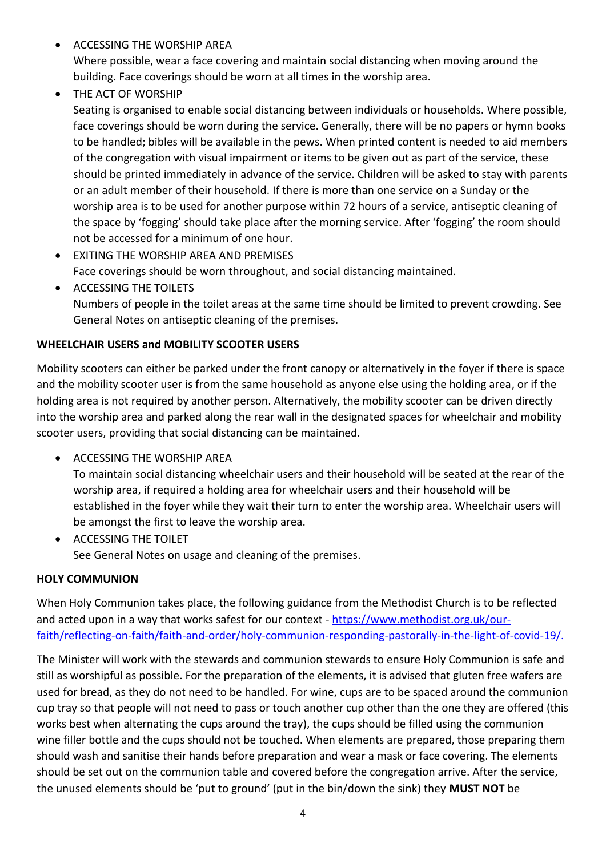- ACCESSING THE WORSHIP AREA Where possible, wear a face covering and maintain social distancing when moving around the building. Face coverings should be worn at all times in the worship area.
- THE ACT OF WORSHIP

Seating is organised to enable social distancing between individuals or households. Where possible, face coverings should be worn during the service. Generally, there will be no papers or hymn books to be handled; bibles will be available in the pews. When printed content is needed to aid members of the congregation with visual impairment or items to be given out as part of the service, these should be printed immediately in advance of the service. Children will be asked to stay with parents or an adult member of their household. If there is more than one service on a Sunday or the worship area is to be used for another purpose within 72 hours of a service, antiseptic cleaning of the space by 'fogging' should take place after the morning service. After 'fogging' the room should not be accessed for a minimum of one hour.

- EXITING THE WORSHIP AREA AND PREMISES Face coverings should be worn throughout, and social distancing maintained.
- ACCESSING THE TOILETS Numbers of people in the toilet areas at the same time should be limited to prevent crowding. See General Notes on antiseptic cleaning of the premises.

#### **WHEELCHAIR USERS and MOBILITY SCOOTER USERS**

Mobility scooters can either be parked under the front canopy or alternatively in the foyer if there is space and the mobility scooter user is from the same household as anyone else using the holding area, or if the holding area is not required by another person. Alternatively, the mobility scooter can be driven directly into the worship area and parked along the rear wall in the designated spaces for wheelchair and mobility scooter users, providing that social distancing can be maintained.

• ACCESSING THE WORSHIP AREA

To maintain social distancing wheelchair users and their household will be seated at the rear of the worship area, if required a holding area for wheelchair users and their household will be established in the foyer while they wait their turn to enter the worship area. Wheelchair users will be amongst the first to leave the worship area.

• ACCESSING THE TOILET See General Notes on usage and cleaning of the premises.

#### **HOLY COMMUNION**

When Holy Communion takes place, the following guidance from the Methodist Church is to be reflected and acted upon in a way that works safest for our context - [https://www.methodist.org.uk/our](https://www.methodist.org.uk/our-faith/reflecting-on-faith/faith-and-order/holy-communion-responding-pastorally-in-the-light-of-covid-19/)[faith/reflecting-on-faith/faith-and-order/holy-communion-responding-pastorally-in-the-light-of-covid-19/](https://www.methodist.org.uk/our-faith/reflecting-on-faith/faith-and-order/holy-communion-responding-pastorally-in-the-light-of-covid-19/).

The Minister will work with the stewards and communion stewards to ensure Holy Communion is safe and still as worshipful as possible. For the preparation of the elements, it is advised that gluten free wafers are used for bread, as they do not need to be handled. For wine, cups are to be spaced around the communion cup tray so that people will not need to pass or touch another cup other than the one they are offered (this works best when alternating the cups around the tray), the cups should be filled using the communion wine filler bottle and the cups should not be touched. When elements are prepared, those preparing them should wash and sanitise their hands before preparation and wear a mask or face covering. The elements should be set out on the communion table and covered before the congregation arrive. After the service, the unused elements should be 'put to ground' (put in the bin/down the sink) they **MUST NOT** be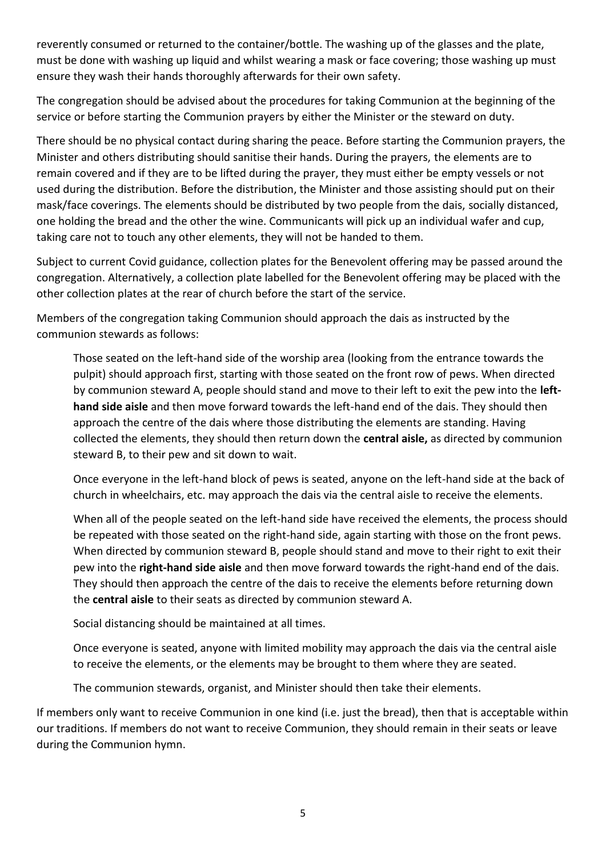reverently consumed or returned to the container/bottle. The washing up of the glasses and the plate, must be done with washing up liquid and whilst wearing a mask or face covering; those washing up must ensure they wash their hands thoroughly afterwards for their own safety.

The congregation should be advised about the procedures for taking Communion at the beginning of the service or before starting the Communion prayers by either the Minister or the steward on duty.

There should be no physical contact during sharing the peace. Before starting the Communion prayers, the Minister and others distributing should sanitise their hands. During the prayers, the elements are to remain covered and if they are to be lifted during the prayer, they must either be empty vessels or not used during the distribution. Before the distribution, the Minister and those assisting should put on their mask/face coverings. The elements should be distributed by two people from the dais, socially distanced, one holding the bread and the other the wine. Communicants will pick up an individual wafer and cup, taking care not to touch any other elements, they will not be handed to them.

Subject to current Covid guidance, collection plates for the Benevolent offering may be passed around the congregation. Alternatively, a collection plate labelled for the Benevolent offering may be placed with the other collection plates at the rear of church before the start of the service.

Members of the congregation taking Communion should approach the dais as instructed by the communion stewards as follows:

Those seated on the left-hand side of the worship area (looking from the entrance towards the pulpit) should approach first, starting with those seated on the front row of pews. When directed by communion steward A, people should stand and move to their left to exit the pew into the **lefthand side aisle** and then move forward towards the left-hand end of the dais. They should then approach the centre of the dais where those distributing the elements are standing. Having collected the elements, they should then return down the **central aisle,** as directed by communion steward B, to their pew and sit down to wait.

Once everyone in the left-hand block of pews is seated, anyone on the left-hand side at the back of church in wheelchairs, etc. may approach the dais via the central aisle to receive the elements.

When all of the people seated on the left-hand side have received the elements, the process should be repeated with those seated on the right-hand side, again starting with those on the front pews. When directed by communion steward B, people should stand and move to their right to exit their pew into the **right-hand side aisle** and then move forward towards the right-hand end of the dais. They should then approach the centre of the dais to receive the elements before returning down the **central aisle** to their seats as directed by communion steward A.

Social distancing should be maintained at all times.

Once everyone is seated, anyone with limited mobility may approach the dais via the central aisle to receive the elements, or the elements may be brought to them where they are seated.

The communion stewards, organist, and Minister should then take their elements.

If members only want to receive Communion in one kind (i.e. just the bread), then that is acceptable within our traditions. If members do not want to receive Communion, they should remain in their seats or leave during the Communion hymn.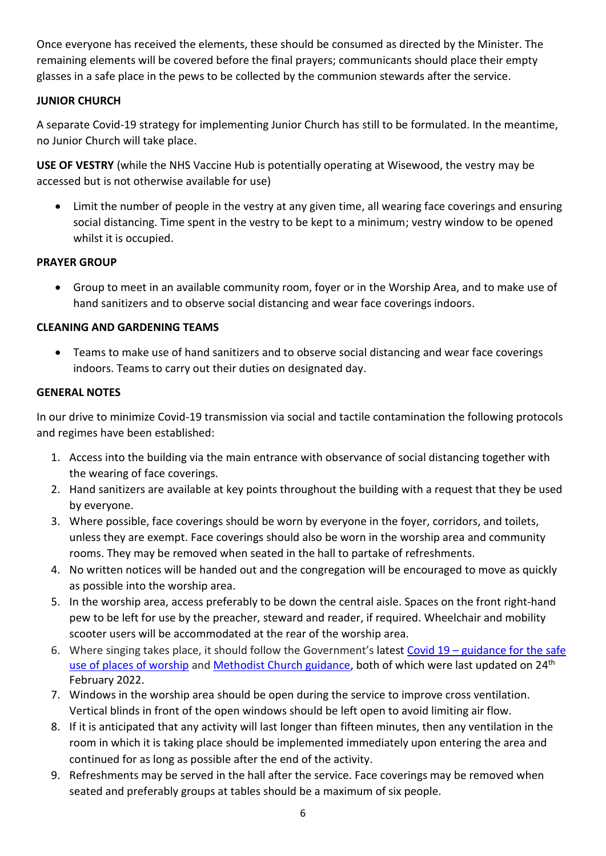Once everyone has received the elements, these should be consumed as directed by the Minister. The remaining elements will be covered before the final prayers; communicants should place their empty glasses in a safe place in the pews to be collected by the communion stewards after the service.

#### **JUNIOR CHURCH**

A separate Covid-19 strategy for implementing Junior Church has still to be formulated. In the meantime, no Junior Church will take place.

**USE OF VESTRY** (while the NHS Vaccine Hub is potentially operating at Wisewood, the vestry may be accessed but is not otherwise available for use)

• Limit the number of people in the vestry at any given time, all wearing face coverings and ensuring social distancing. Time spent in the vestry to be kept to a minimum; vestry window to be opened whilst it is occupied.

#### **PRAYER GROUP**

• Group to meet in an available community room, foyer or in the Worship Area, and to make use of hand sanitizers and to observe social distancing and wear face coverings indoors.

#### **CLEANING AND GARDENING TEAMS**

• Teams to make use of hand sanitizers and to observe social distancing and wear face coverings indoors. Teams to carry out their duties on designated day.

#### **GENERAL NOTES**

In our drive to minimize Covid-19 transmission via social and tactile contamination the following protocols and regimes have been established:

- 1. Access into the building via the main entrance with observance of social distancing together with the wearing of face coverings.
- 2. Hand sanitizers are available at key points throughout the building with a request that they be used by everyone.
- 3. Where possible, face coverings should be worn by everyone in the foyer, corridors, and toilets, unless they are exempt. Face coverings should also be worn in the worship area and community rooms. They may be removed when seated in the hall to partake of refreshments.
- 4. No written notices will be handed out and the congregation will be encouraged to move as quickly as possible into the worship area.
- 5. In the worship area, access preferably to be down the central aisle. Spaces on the front right-hand pew to be left for use by the preacher, steward and reader, if required. Wheelchair and mobility scooter users will be accommodated at the rear of the worship area.
- 6. Where singing takes place, it should follow the Government's latest Covid 19 [guidance for the safe](https://www.gov.uk/guidance/covid-19-guidance-for-the-safe-use-of-places-of-worship#singing-music-and-performances)  [use of places of worship](https://www.gov.uk/guidance/covid-19-guidance-for-the-safe-use-of-places-of-worship#singing-music-and-performances) and [Methodist Church guidance,](https://www.methodist.org.uk/for-churches/property/coronavirus-guidance-for-property/) both of which were last updated on 24<sup>th</sup> February 2022.
- 7. Windows in the worship area should be open during the service to improve cross ventilation. Vertical blinds in front of the open windows should be left open to avoid limiting air flow.
- 8. If it is anticipated that any activity will last longer than fifteen minutes, then any ventilation in the room in which it is taking place should be implemented immediately upon entering the area and continued for as long as possible after the end of the activity.
- 9. Refreshments may be served in the hall after the service. Face coverings may be removed when seated and preferably groups at tables should be a maximum of six people.